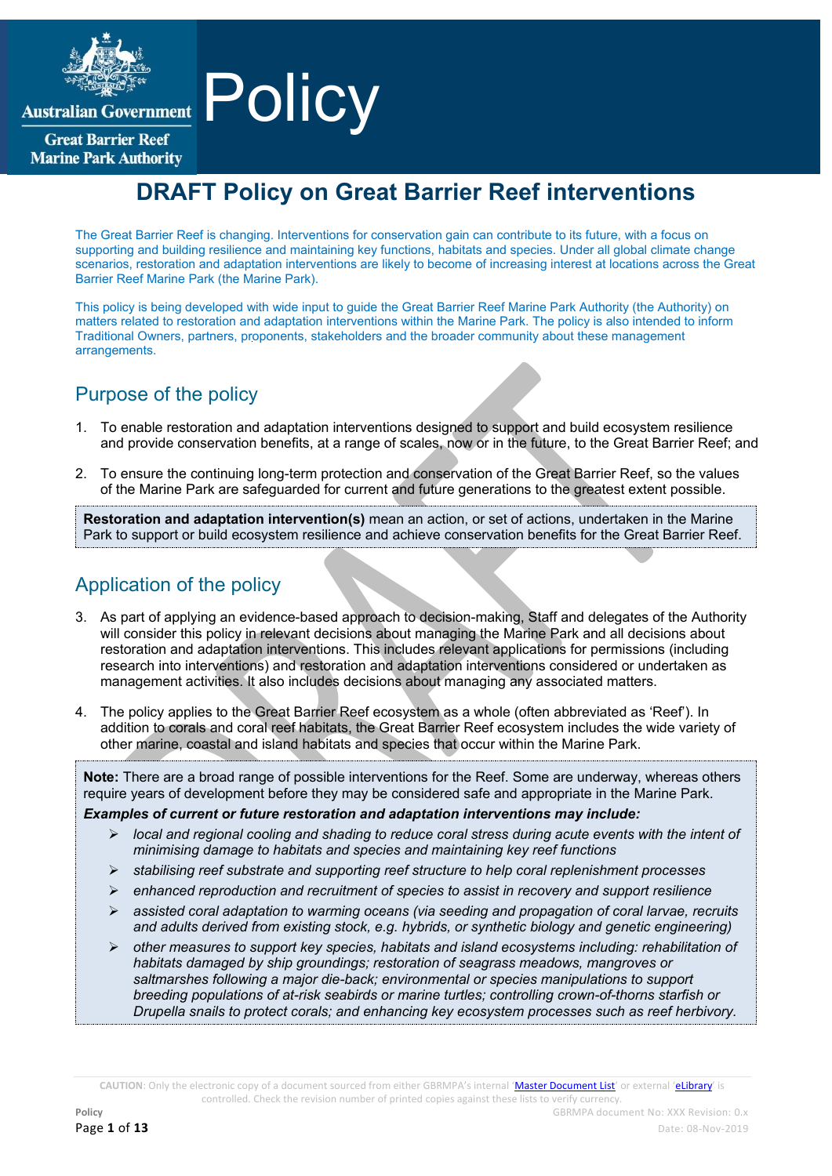

**Australian Government** 

**Great Barrier Reef Marine Park Authority** 

# **Policy**

# **DRAFT Policy on Great Barrier Reef interventions**

The Great Barrier Reef is changing. Interventions for conservation gain can contribute to its future, with a focus on supporting and building resilience and maintaining key functions, habitats and species. Under all global climate change scenarios, restoration and adaptation interventions are likely to become of increasing interest at locations across the Great Barrier Reef Marine Park (the Marine Park).

This policy is being developed with wide input to guide the Great Barrier Reef Marine Park Authority (the Authority) on matters related to restoration and adaptation interventions within the Marine Park. The policy is also intended to inform Traditional Owners, partners, proponents, stakeholders and the broader community about these management arrangements.

# Purpose of the policy

- 1. To enable restoration and adaptation interventions designed to support and build ecosystem resilience and provide conservation benefits, at a range of scales, now or in the future, to the Great Barrier Reef; and
- 2. To ensure the continuing long-term protection and conservation of the Great Barrier Reef, so the values of the Marine Park are safeguarded for current and future generations to the greatest extent possible.

**Restoration and adaptation intervention(s)** mean an action, or set of actions, undertaken in the Marine Park to support or build ecosystem resilience and achieve conservation benefits for the Great Barrier Reef.

# Application of the policy

3. As part of applying an evidence-based approach to decision-making, Staff and delegates of the Authority will consider this policy in relevant decisions about managing the Marine Park and all decisions about restoration and adaptation interventions. This includes relevant applications for permissions (including research into interventions) and restoration and adaptation interventions considered or undertaken as management activities. It also includes decisions about managing any associated matters.

4. The policy applies to the Great Barrier Reef ecosystem as a whole (often abbreviated as 'Reef'). In addition to corals and coral reef habitats, the Great Barrier Reef ecosystem includes the wide variety of other marine, coastal and island habitats and species that occur within the Marine Park.

**Note:** There are a broad range of possible interventions for the Reef. Some are underway, whereas others require years of development before they may be considered safe and appropriate in the Marine Park.

*Examples of current or future restoration and adaptation interventions may include:* 

- *local and regional cooling and shading to reduce coral stress during acute events with the intent of minimising damage to habitats and species and maintaining key reef functions*
- *stabilising reef substrate and supporting reef structure to help coral replenishment processes*
- *enhanced reproduction and recruitment of species to assist in recovery and support resilience*
- *assisted coral adaptation to warming oceans (via seeding and propagation of coral larvae, recruits and adults derived from existing stock, e.g. hybrids, or synthetic biology and genetic engineering)*
- *other measures to support key species, habitats and island ecosystems including: rehabilitation of habitats damaged by ship groundings; restoration of seagrass meadows, mangroves or saltmarshes following a major die-back; environmental or species manipulations to support breeding populations of at-risk seabirds or marine turtles; controlling crown-of-thorns starfish or Drupella snails to protect corals; and enhancing key ecosystem processes such as reef herbivory.*

CAUTION: Only the electronic copy of a document sourced from either GBRMPA's internal '[Master Document List](http://qudos/masterdocumentlist/)' or external '[eLibrary](http://elibrary.gbrmpa.gov.au/jspui/)' is controlled. Check the revision number of printed copies against these lists to verify currency.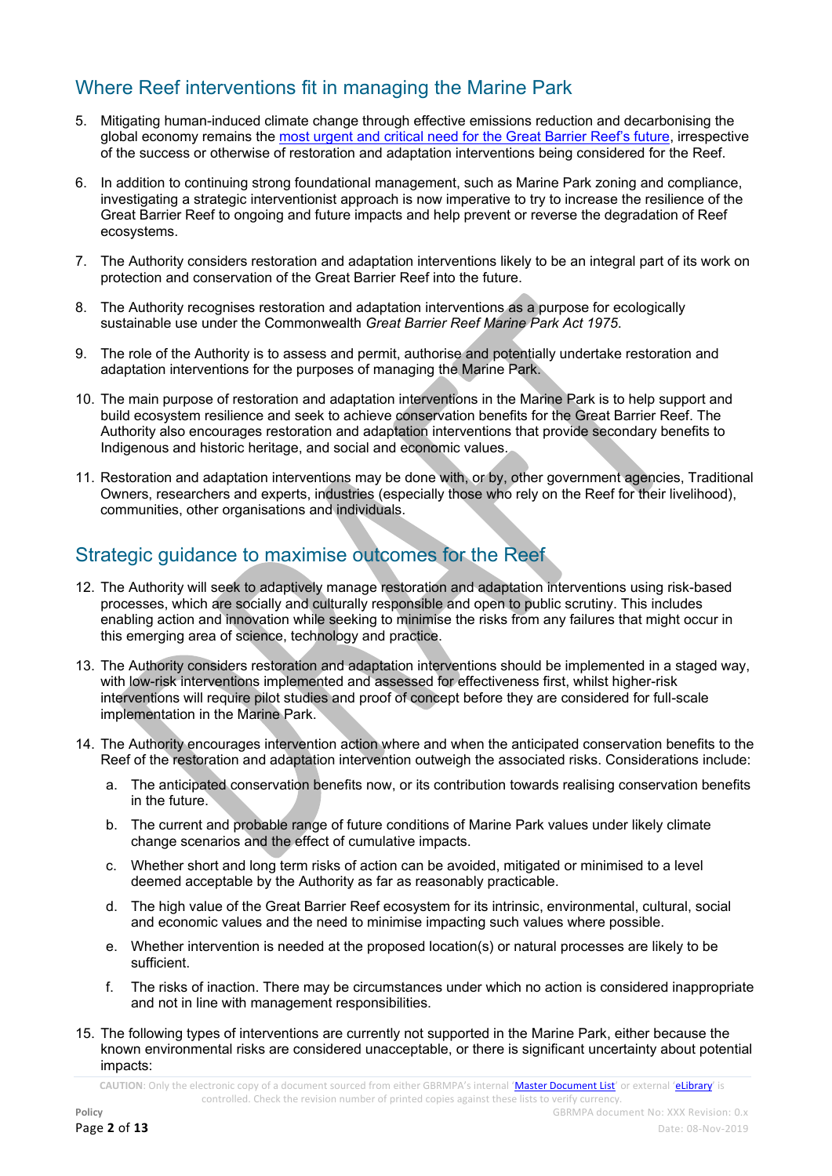# Where Reef interventions fit in managing the Marine Park

- 5. Mitigating human-induced climate change through effective emissions reduction and decarbonising the global economy remains the [most urgent and critical need for the Great Barrier Reef's future](http://elibrary.gbrmpa.gov.au/jspui/handle/11017/3460), irrespective of the success or otherwise of restoration and adaptation interventions being considered for the Reef.
- 6. In addition to continuing strong foundational management, such as Marine Park zoning and compliance, investigating a strategic interventionist approach is now imperative to try to increase the resilience of the Great Barrier Reef to ongoing and future impacts and help prevent or reverse the degradation of Reef ecosystems.
- 7. The Authority considers restoration and adaptation interventions likely to be an integral part of its work on protection and conservation of the Great Barrier Reef into the future.
- 8. The Authority recognises restoration and adaptation interventions as a purpose for ecologically sustainable use under the Commonwealth *Great Barrier Reef Marine Park Act 1975*.
- 9. The role of the Authority is to assess and permit, authorise and potentially undertake restoration and adaptation interventions for the purposes of managing the Marine Park.
- 10. The main purpose of restoration and adaptation interventions in the Marine Park is to help support and build ecosystem resilience and seek to achieve conservation benefits for the Great Barrier Reef. The Authority also encourages restoration and adaptation interventions that provide secondary benefits to Indigenous and historic heritage, and social and economic values.
- 11. Restoration and adaptation interventions may be done with, or by, other government agencies, Traditional Owners, researchers and experts, industries (especially those who rely on the Reef for their livelihood), communities, other organisations and individuals.

# Strategic guidance to maximise outcomes for the Reef

- 12. The Authority will seek to adaptively manage restoration and adaptation interventions using risk-based processes, which are socially and culturally responsible and open to public scrutiny. This includes enabling action and innovation while seeking to minimise the risks from any failures that might occur in this emerging area of science, technology and practice.
- 13. The Authority considers restoration and adaptation interventions should be implemented in a staged way, with low-risk interventions implemented and assessed for effectiveness first, whilst higher-risk interventions will require pilot studies and proof of concept before they are considered for full-scale implementation in the Marine Park.
- 14. The Authority encourages intervention action where and when the anticipated conservation benefits to the Reef of the restoration and adaptation intervention outweigh the associated risks. Considerations include:
	- a. The anticipated conservation benefits now, or its contribution towards realising conservation benefits in the future.
	- b. The current and probable range of future conditions of Marine Park values under likely climate change scenarios and the effect of cumulative impacts.
	- c. Whether short and long term risks of action can be avoided, mitigated or minimised to a level deemed acceptable by the Authority as far as reasonably practicable.
	- d. The high value of the Great Barrier Reef ecosystem for its intrinsic, environmental, cultural, social and economic values and the need to minimise impacting such values where possible.
	- e. Whether intervention is needed at the proposed location(s) or natural processes are likely to be sufficient.
	- f. The risks of inaction. There may be circumstances under which no action is considered inappropriate and not in line with management responsibilities.
- 15. The following types of interventions are currently not supported in the Marine Park, either because the known environmental risks are considered unacceptable, or there is significant uncertainty about potential impacts: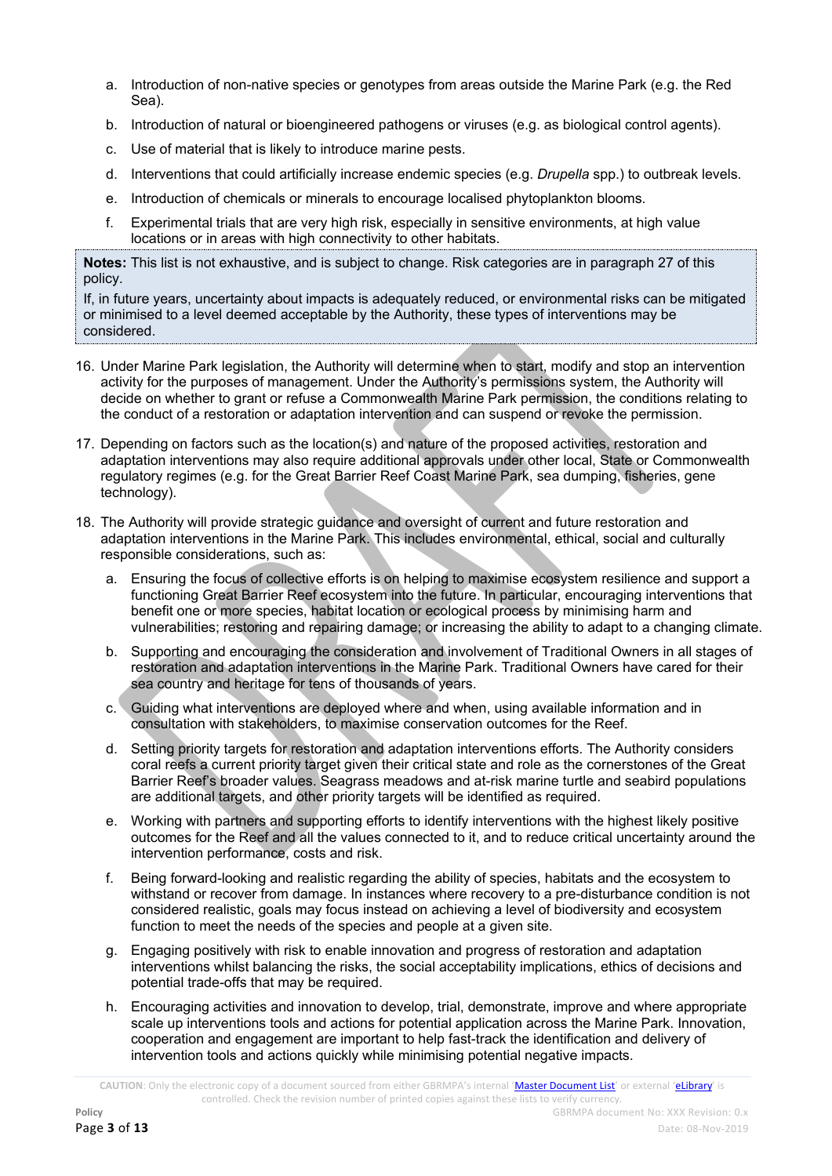- a. Introduction of non-native species or genotypes from areas outside the Marine Park (e.g. the Red Sea).
- b. Introduction of natural or bioengineered pathogens or viruses (e.g. as biological control agents).
- c. Use of material that is likely to introduce marine pests.
- d. Interventions that could artificially increase endemic species (e.g. *Drupella* spp.) to outbreak levels.
- e. Introduction of chemicals or minerals to encourage localised phytoplankton blooms.
- f. Experimental trials that are very high risk, especially in sensitive environments, at high value locations or in areas with high connectivity to other habitats.

**Notes:** This list is not exhaustive, and is subject to change. Risk categories are in paragraph 27 of this policy.

If, in future years, uncertainty about impacts is adequately reduced, or environmental risks can be mitigated or minimised to a level deemed acceptable by the Authority, these types of interventions may be considered.

- 16. Under Marine Park legislation, the Authority will determine when to start, modify and stop an intervention activity for the purposes of management. Under the Authority's permissions system, the Authority will decide on whether to grant or refuse a Commonwealth Marine Park permission, the conditions relating to the conduct of a restoration or adaptation intervention and can suspend or revoke the permission.
- 17. Depending on factors such as the location(s) and nature of the proposed activities, restoration and adaptation interventions may also require additional approvals under other local, State or Commonwealth regulatory regimes (e.g. for the Great Barrier Reef Coast Marine Park, sea dumping, fisheries, gene technology).
- 18. The Authority will provide strategic guidance and oversight of current and future restoration and adaptation interventions in the Marine Park. This includes environmental, ethical, social and culturally responsible considerations, such as:
	- a. Ensuring the focus of collective efforts is on helping to maximise ecosystem resilience and support a functioning Great Barrier Reef ecosystem into the future. In particular, encouraging interventions that benefit one or more species, habitat location or ecological process by minimising harm and vulnerabilities; restoring and repairing damage; or increasing the ability to adapt to a changing climate.
	- b. Supporting and encouraging the consideration and involvement of Traditional Owners in all stages of restoration and adaptation interventions in the Marine Park. Traditional Owners have cared for their sea country and heritage for tens of thousands of years.
	- c. Guiding what interventions are deployed where and when, using available information and in consultation with stakeholders, to maximise conservation outcomes for the Reef.
	- d. Setting priority targets for restoration and adaptation interventions efforts. The Authority considers coral reefs a current priority target given their critical state and role as the cornerstones of the Great Barrier Reef's broader values. Seagrass meadows and at-risk marine turtle and seabird populations are additional targets, and other priority targets will be identified as required.
	- e. Working with partners and supporting efforts to identify interventions with the highest likely positive outcomes for the Reef and all the values connected to it, and to reduce critical uncertainty around the intervention performance, costs and risk.
	- f. Being forward-looking and realistic regarding the ability of species, habitats and the ecosystem to withstand or recover from damage. In instances where recovery to a pre-disturbance condition is not considered realistic, goals may focus instead on achieving a level of biodiversity and ecosystem function to meet the needs of the species and people at a given site.
	- g. Engaging positively with risk to enable innovation and progress of restoration and adaptation interventions whilst balancing the risks, the social acceptability implications, ethics of decisions and potential trade-offs that may be required.
	- h. Encouraging activities and innovation to develop, trial, demonstrate, improve and where appropriate scale up interventions tools and actions for potential application across the Marine Park. Innovation, cooperation and engagement are important to help fast-track the identification and delivery of intervention tools and actions quickly while minimising potential negative impacts.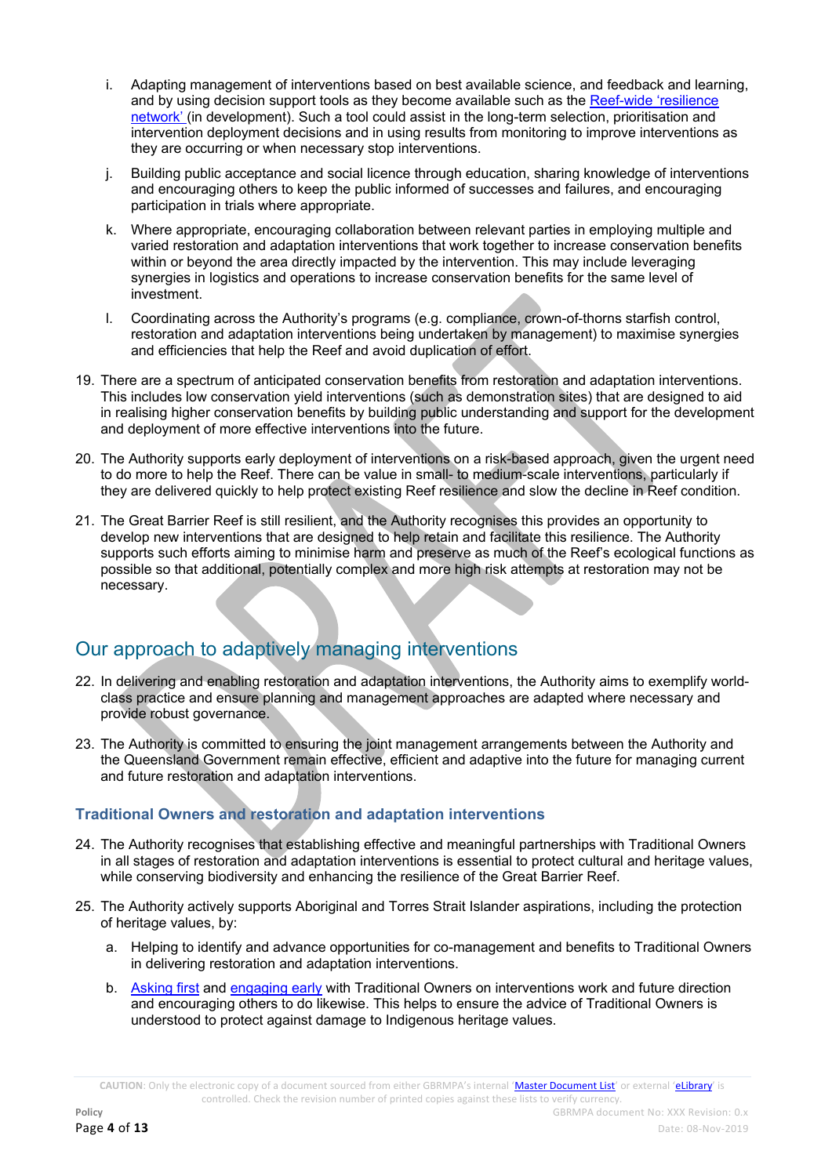- i. Adapting management of interventions based on best available science, and feedback and learning, and by using decision support tools as they become available such as the Reef-[wide 'resilience](http://www.gbrmpa.gov.au/our-work/reef-strategies/managing-for-a-resilient-reef)  [network'](http://www.gbrmpa.gov.au/our-work/reef-strategies/managing-for-a-resilient-reef) (in development). Such a tool could assist in the long-term selection, prioritisation and intervention deployment decisions and in using results from monitoring to improve interventions as they are occurring or when necessary stop interventions.
- j. Building public acceptance and social licence through education, sharing knowledge of interventions and encouraging others to keep the public informed of successes and failures, and encouraging participation in trials where appropriate.
- k. Where appropriate, encouraging collaboration between relevant parties in employing multiple and varied restoration and adaptation interventions that work together to increase conservation benefits within or beyond the area directly impacted by the intervention. This may include leveraging synergies in logistics and operations to increase conservation benefits for the same level of investment.
- l. Coordinating across the Authority's programs (e.g. compliance, crown-of-thorns starfish control, restoration and adaptation interventions being undertaken by management) to maximise synergies and efficiencies that help the Reef and avoid duplication of effort.
- 19. There are a spectrum of anticipated conservation benefits from restoration and adaptation interventions. This includes low conservation yield interventions (such as demonstration sites) that are designed to aid in realising higher conservation benefits by building public understanding and support for the development and deployment of more effective interventions into the future.
- 20. The Authority supports early deployment of interventions on a risk-based approach, given the urgent need to do more to help the Reef. There can be value in small- to medium-scale interventions, particularly if they are delivered quickly to help protect existing Reef resilience and slow the decline in Reef condition.
- 21. The Great Barrier Reef is still resilient, and the Authority recognises this provides an opportunity to develop new interventions that are designed to help retain and facilitate this resilience. The Authority supports such efforts aiming to minimise harm and preserve as much of the Reef's ecological functions as possible so that additional, potentially complex and more high risk attempts at restoration may not be necessary.

# Our approach to adaptively managing interventions

- 22. In delivering and enabling restoration and adaptation interventions, the Authority aims to exemplify worldclass practice and ensure planning and management approaches are adapted where necessary and provide robust governance.
- 23. The Authority is committed to ensuring the joint management arrangements between the Authority and the Queensland Government remain effective, efficient and adaptive into the future for managing current and future restoration and adaptation interventions.

### **Traditional Owners and restoration and adaptation interventions**

- 24. The Authority recognises that establishing effective and meaningful partnerships with Traditional Owners in all stages of restoration and adaptation interventions is essential to protect cultural and heritage values, while conserving biodiversity and enhancing the resilience of the Great Barrier Reef.
- 25. The Authority actively supports Aboriginal and Torres Strait Islander aspirations, including the protection of heritage values, by:
	- a. Helping to identify and advance opportunities for co-management and benefits to Traditional Owners in delivering restoration and adaptation interventions.
	- b. [Asking first](http://www.environment.gov.au/resource/ask-first-guide-respecting-indigenous-heritage-places-and-values) and [engaging early](http://environment.gov.au/epbc/publications/engage-early) with Traditional Owners on interventions work and future direction and encouraging others to do likewise. This helps to ensure the advice of Traditional Owners is understood to protect against damage to Indigenous heritage values.

**CAUTION**: Only the electronic copy of a document sourced from either GBRMPA's internal '[Master Document List](http://qudos/masterdocumentlist/)' or external '[eLibrary](http://elibrary.gbrmpa.gov.au/jspui/)' is controlled. Check the revision number of printed copies against these lists to verify currency.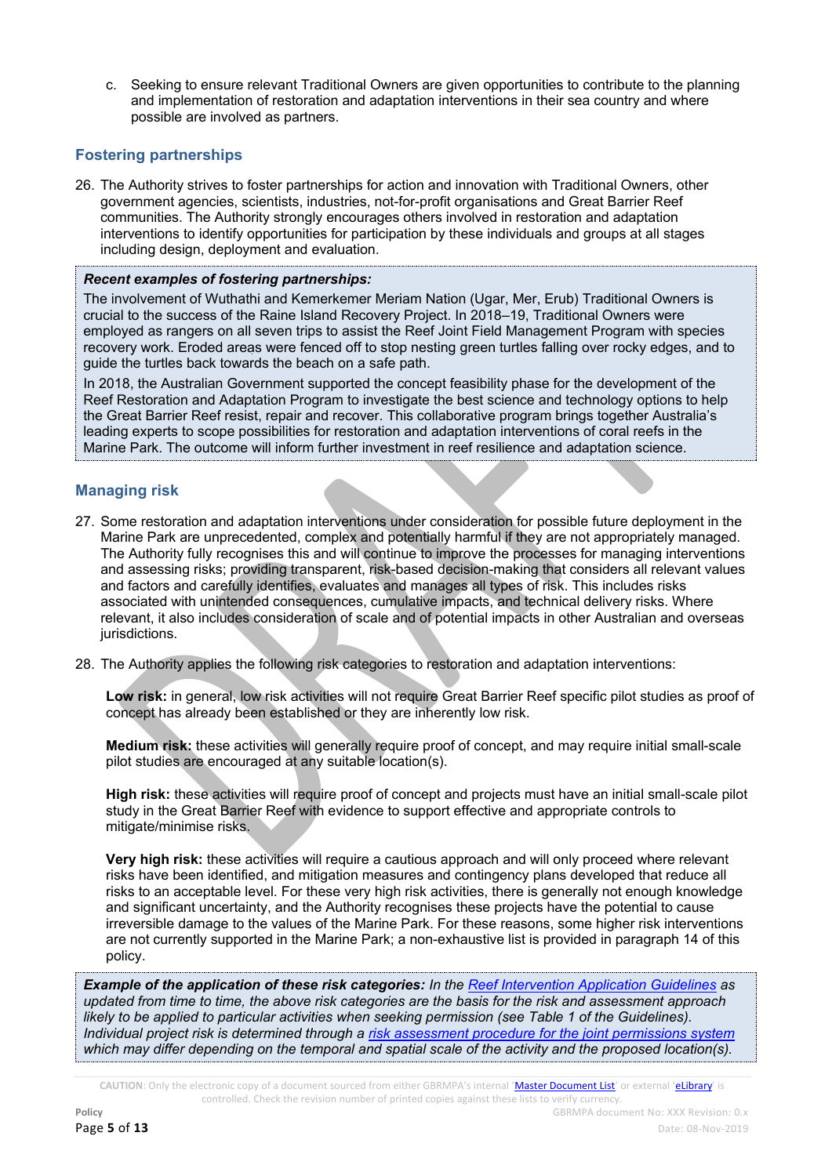c. Seeking to ensure relevant Traditional Owners are given opportunities to contribute to the planning and implementation of restoration and adaptation interventions in their sea country and where possible are involved as partners.

### **Fostering partnerships**

26. The Authority strives to foster partnerships for action and innovation with Traditional Owners, other government agencies, scientists, industries, not-for-profit organisations and Great Barrier Reef communities. The Authority strongly encourages others involved in restoration and adaptation interventions to identify opportunities for participation by these individuals and groups at all stages including design, deployment and evaluation.

### *Recent examples of fostering partnerships:*

The involvement of Wuthathi and Kemerkemer Meriam Nation (Ugar, Mer, Erub) Traditional Owners is crucial to the success of the Raine Island Recovery Project. In 2018–19, Traditional Owners were employed as rangers on all seven trips to assist the Reef Joint Field Management Program with species recovery work. Eroded areas were fenced off to stop nesting green turtles falling over rocky edges, and to guide the turtles back towards the beach on a safe path.

In 2018, the Australian Government supported the concept feasibility phase for the development of the Reef Restoration and Adaptation Program to investigate the best science and technology options to help the Great Barrier Reef resist, repair and recover. This collaborative program brings together Australia's leading experts to scope possibilities for restoration and adaptation interventions of coral reefs in the Marine Park. The outcome will inform further investment in reef resilience and adaptation science.

### **Managing risk**

- 27. Some restoration and adaptation interventions under consideration for possible future deployment in the Marine Park are unprecedented, complex and potentially harmful if they are not appropriately managed. The Authority fully recognises this and will continue to improve the processes for managing interventions and assessing risks; providing transparent, risk-based decision-making that considers all relevant values and factors and carefully identifies, evaluates and manages all types of risk. This includes risks associated with unintended consequences, cumulative impacts, and technical delivery risks. Where relevant, it also includes consideration of scale and of potential impacts in other Australian and overseas jurisdictions.
- 28. The Authority applies the following risk categories to restoration and adaptation interventions:

**Low risk:** in general, low risk activities will not require Great Barrier Reef specific pilot studies as proof of concept has already been established or they are inherently low risk.

**Medium risk:** these activities will generally require proof of concept, and may require initial small-scale pilot studies are encouraged at any suitable location(s).

**High risk:** these activities will require proof of concept and projects must have an initial small-scale pilot study in the Great Barrier Reef with evidence to support effective and appropriate controls to mitigate/minimise risks.

**Very high risk:** these activities will require a cautious approach and will only proceed where relevant risks have been identified, and mitigation measures and contingency plans developed that reduce all risks to an acceptable level. For these very high risk activities, there is generally not enough knowledge and significant uncertainty, and the Authority recognises these projects have the potential to cause irreversible damage to the values of the Marine Park. For these reasons, some higher risk interventions are not currently supported in the Marine Park; a non-exhaustive list is provided in paragraph 14 of this policy.

*Example of the application of these risk categories: In th[e Reef Intervention Application Guidelines](http://elibrary.gbrmpa.gov.au/jspui/bitstream/11017/3420/5/v1-Applications-for-restoration_adaptation-projects-%28Joint%29.pdf) as updated from time to time, the above risk categories are the basis for the risk and assessment approach likely to be applied to particular activities when seeking permission (see Table 1 of the Guidelines). Individual project risk is determined through a risk assessment [procedure for the joint permissions system](http://elibrary.gbrmpa.gov.au/jspui/handle/11017/3231) which may differ depending on the temporal and spatial scale of the activity and the proposed location(s).*

**CAUTION**: Only the electronic copy of a document sourced from either GBRMPA's internal '[Master Document List](http://qudos/masterdocumentlist/)' or external '[eLibrary](http://elibrary.gbrmpa.gov.au/jspui/)' is controlled. Check the revision number of printed copies against these lists to verify currency.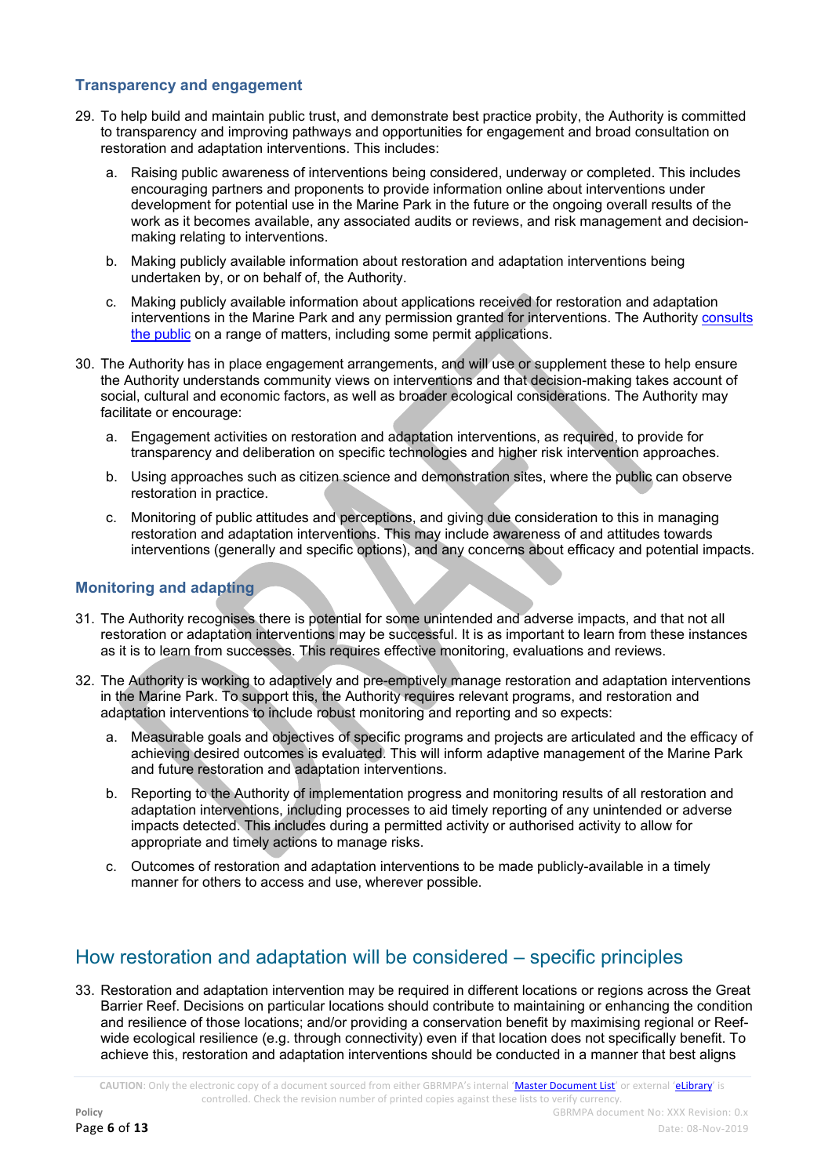### **Transparency and engagement**

- 29. To help build and maintain public trust, and demonstrate best practice probity, the Authority is committed to transparency and improving pathways and opportunities for engagement and broad consultation on restoration and adaptation interventions. This includes:
	- a. Raising public awareness of interventions being considered, underway or completed. This includes encouraging partners and proponents to provide information online about interventions under development for potential use in the Marine Park in the future or the ongoing overall results of the work as it becomes available, any associated audits or reviews, and risk management and decisionmaking relating to interventions.
	- b. Making publicly available information about restoration and adaptation interventions being undertaken by, or on behalf of, the Authority.
	- c. Making publicly available information about applications received for restoration and adaptation interventions in the Marine Park and any permission granted for interventions. The Authority [consults](http://www.gbrmpa.gov.au/about-us/consultation)  [the public](http://www.gbrmpa.gov.au/about-us/consultation) on a range of matters, including some permit applications.
- 30. The Authority has in place engagement arrangements, and will use or supplement these to help ensure the Authority understands community views on interventions and that decision-making takes account of social, cultural and economic factors, as well as broader ecological considerations. The Authority may facilitate or encourage:
	- a. Engagement activities on restoration and adaptation interventions, as required, to provide for transparency and deliberation on specific technologies and higher risk intervention approaches.
	- b. Using approaches such as citizen science and demonstration sites, where the public can observe restoration in practice.
	- c. Monitoring of public attitudes and perceptions, and giving due consideration to this in managing restoration and adaptation interventions. This may include awareness of and attitudes towards interventions (generally and specific options), and any concerns about efficacy and potential impacts.

### **Monitoring and adapting**

- 31. The Authority recognises there is potential for some unintended and adverse impacts, and that not all restoration or adaptation interventions may be successful. It is as important to learn from these instances as it is to learn from successes. This requires effective monitoring, evaluations and reviews.
- 32. The Authority is working to adaptively and pre-emptively manage restoration and adaptation interventions in the Marine Park. To support this, the Authority requires relevant programs, and restoration and adaptation interventions to include robust monitoring and reporting and so expects:
	- a. Measurable goals and objectives of specific programs and projects are articulated and the efficacy of achieving desired outcomes is evaluated. This will inform adaptive management of the Marine Park and future restoration and adaptation interventions.
	- b. Reporting to the Authority of implementation progress and monitoring results of all restoration and adaptation interventions, including processes to aid timely reporting of any unintended or adverse impacts detected. This includes during a permitted activity or authorised activity to allow for appropriate and timely actions to manage risks.
	- c. Outcomes of restoration and adaptation interventions to be made publicly-available in a timely manner for others to access and use, wherever possible.

# How restoration and adaptation will be considered – specific principles

33. Restoration and adaptation intervention may be required in different locations or regions across the Great Barrier Reef. Decisions on particular locations should contribute to maintaining or enhancing the condition and resilience of those locations; and/or providing a conservation benefit by maximising regional or Reefwide ecological resilience (e.g. through connectivity) even if that location does not specifically benefit. To achieve this, restoration and adaptation interventions should be conducted in a manner that best aligns

**CAUTION**: Only the electronic copy of a document sourced from either GBRMPA's internal '[Master Document List](http://qudos/masterdocumentlist/)' or external '[eLibrary](http://elibrary.gbrmpa.gov.au/jspui/)' is controlled. Check the revision number of printed copies against these lists to verify currency.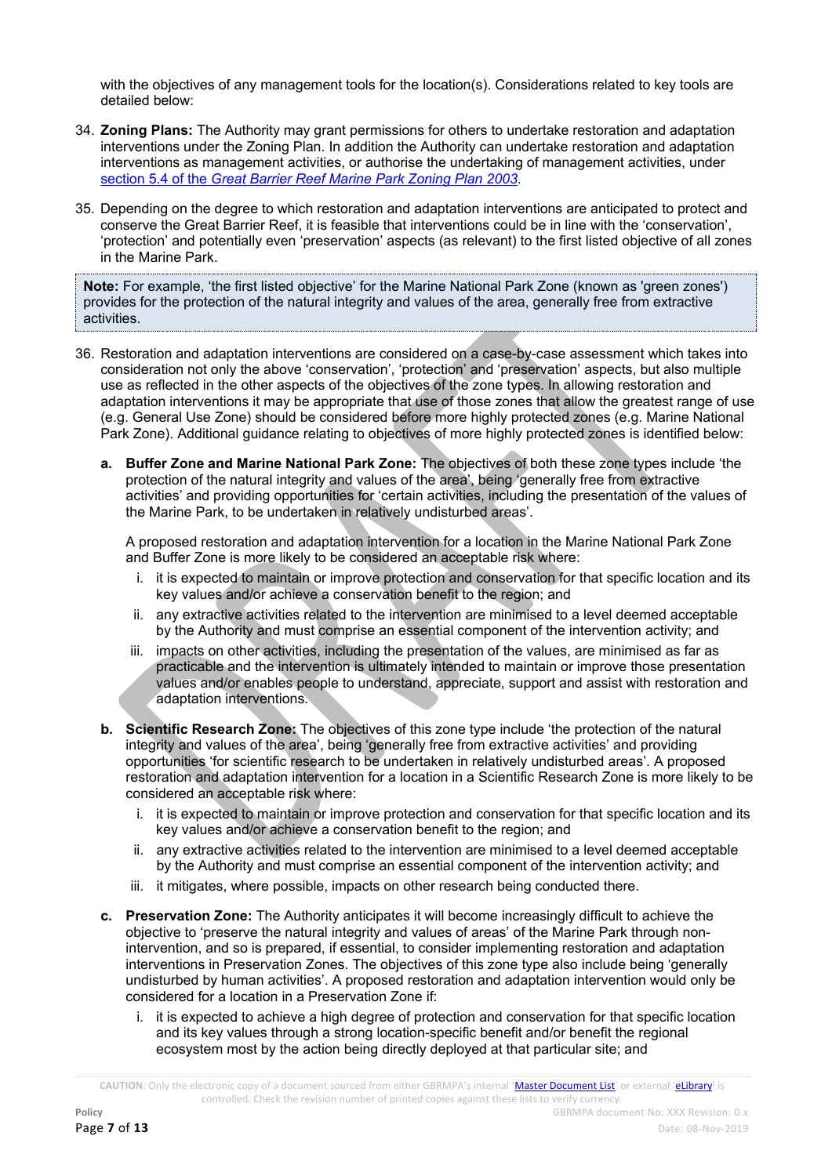with the objectives of any management tools for the location(s). Considerations related to key tools are detailed below:

- 34. **Zoning Plans:** The Authority may grant permissions for others to undertake restoration and adaptation interventions under the Zoning Plan. In addition the Authority can undertake restoration and adaptation interventions as management activities, or authorise the undertaking of management activities, under section 5.4 of the *[Great Barrier Reef Marine Park Zoning Plan 2003](http://hdl.handle.net/11017/3547)*.
- 35. Depending on the degree to which restoration and adaptation interventions are anticipated to protect and conserve the Great Barrier Reef, it is feasible that interventions could be in line with the 'conservation', 'protection' and potentially even 'preservation' aspects (as relevant) to the first listed objective of all zones in the Marine Park.

**Note:** For example, 'the first listed objective' for the Marine National Park Zone (known as 'green zones') provides for the protection of the natural integrity and values of the area, generally free from extractive activities.

- 36. Restoration and adaptation interventions are considered on a case-by-case assessment which takes into consideration not only the above 'conservation', 'protection' and 'preservation' aspects, but also multiple use as reflected in the other aspects of the objectives of the zone types. In allowing restoration and adaptation interventions it may be appropriate that use of those zones that allow the greatest range of use (e.g. General Use Zone) should be considered before more highly protected zones (e.g. Marine National Park Zone). Additional guidance relating to objectives of more highly protected zones is identified below:
	- **a. Buffer Zone and Marine National Park Zone:** The objectives of both these zone types include 'the protection of the natural integrity and values of the area', being 'generally free from extractive activities' and providing opportunities for 'certain activities, including the presentation of the values of the Marine Park, to be undertaken in relatively undisturbed areas'.

A proposed restoration and adaptation intervention for a location in the Marine National Park Zone and Buffer Zone is more likely to be considered an acceptable risk where:

- i. it is expected to maintain or improve protection and conservation for that specific location and its key values and/or achieve a conservation benefit to the region; and
- ii. any extractive activities related to the intervention are minimised to a level deemed acceptable by the Authority and must comprise an essential component of the intervention activity; and
- iii. impacts on other activities, including the presentation of the values, are minimised as far as practicable and the intervention is ultimately intended to maintain or improve those presentation values and/or enables people to understand, appreciate, support and assist with restoration and adaptation interventions.
- **b. Scientific Research Zone:** The objectives of this zone type include 'the protection of the natural integrity and values of the area', being 'generally free from extractive activities' and providing opportunities 'for scientific research to be undertaken in relatively undisturbed areas'. A proposed restoration and adaptation intervention for a location in a Scientific Research Zone is more likely to be considered an acceptable risk where:
	- i. it is expected to maintain or improve protection and conservation for that specific location and its key values and/or achieve a conservation benefit to the region; and
	- ii. any extractive activities related to the intervention are minimised to a level deemed acceptable by the Authority and must comprise an essential component of the intervention activity; and
	- iii. it mitigates, where possible, impacts on other research being conducted there.
- **c. Preservation Zone:** The Authority anticipates it will become increasingly difficult to achieve the objective to 'preserve the natural integrity and values of areas' of the Marine Park through nonintervention, and so is prepared, if essential, to consider implementing restoration and adaptation interventions in Preservation Zones. The objectives of this zone type also include being 'generally undisturbed by human activities'. A proposed restoration and adaptation intervention would only be considered for a location in a Preservation Zone if:
	- i. it is expected to achieve a high degree of protection and conservation for that specific location and its key values through a strong location-specific benefit and/or benefit the regional ecosystem most by the action being directly deployed at that particular site; and

**CAUTION**: Only the electronic copy of a document sourced from either GBRMPA's internal '[Master Document List](http://qudos/masterdocumentlist/)' or external '[eLibrary](http://elibrary.gbrmpa.gov.au/jspui/)' is controlled. Check the revision number of printed copies against these lists to verify currency.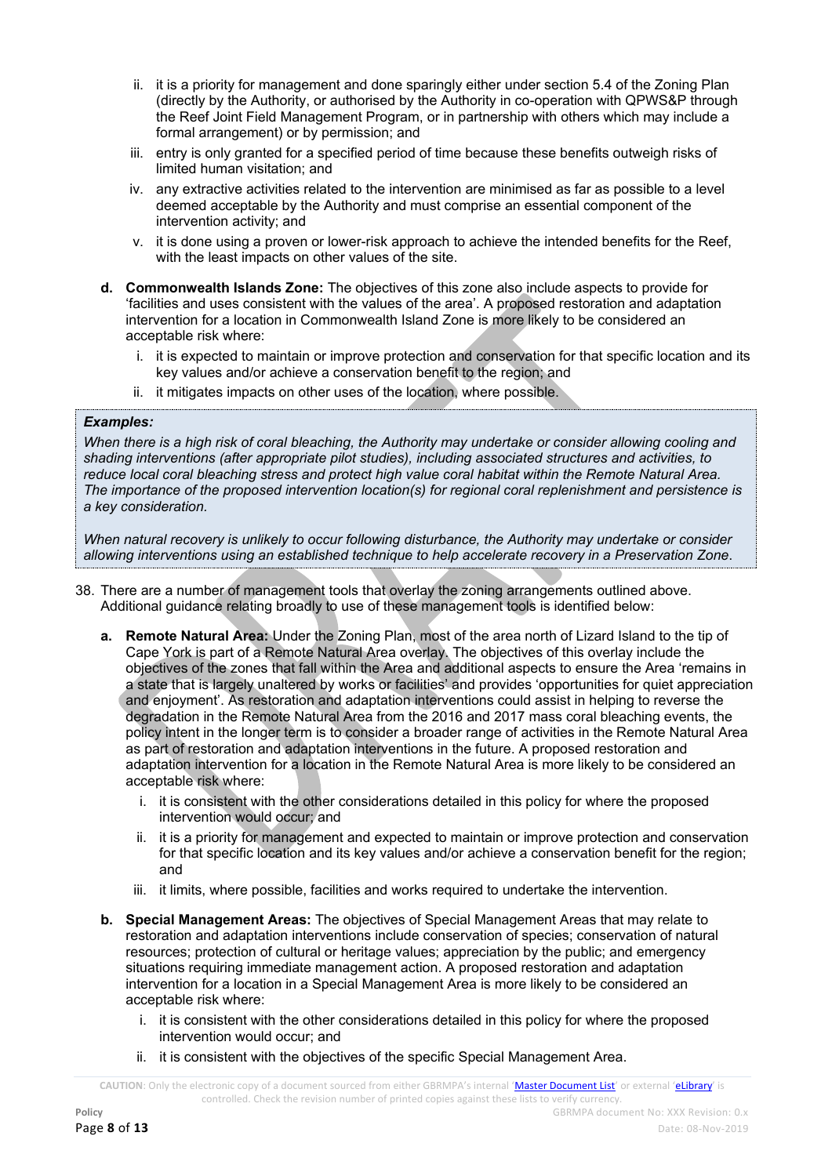- ii. it is a priority for management and done sparingly either under section 5.4 of the Zoning Plan (directly by the Authority, or authorised by the Authority in co-operation with QPWS&P through the Reef Joint Field Management Program, or in partnership with others which may include a formal arrangement) or by permission; and
- iii. entry is only granted for a specified period of time because these benefits outweigh risks of limited human visitation; and
- iv. any extractive activities related to the intervention are minimised as far as possible to a level deemed acceptable by the Authority and must comprise an essential component of the intervention activity; and
- v. it is done using a proven or lower-risk approach to achieve the intended benefits for the Reef, with the least impacts on other values of the site.
- **d. Commonwealth Islands Zone:** The objectives of this zone also include aspects to provide for 'facilities and uses consistent with the values of the area'. A proposed restoration and adaptation intervention for a location in Commonwealth Island Zone is more likely to be considered an acceptable risk where:
	- i. it is expected to maintain or improve protection and conservation for that specific location and its key values and/or achieve a conservation benefit to the region; and
	- ii. it mitigates impacts on other uses of the location, where possible.

### *Examples:*

37. *When there is a high risk of coral bleaching, the Authority may undertake or consider allowing cooling and shading interventions (after appropriate pilot studies), including associated structures and activities, to reduce local coral bleaching stress and protect high value coral habitat within the Remote Natural Area. The importance of the proposed intervention location(s) for regional coral replenishment and persistence is a key consideration.*

*When natural recovery is unlikely to occur following disturbance, the Authority may undertake or consider allowing interventions using an established technique to help accelerate recovery in a Preservation Zone*.

- 38. There are a number of management tools that overlay the zoning arrangements outlined above. Additional guidance relating broadly to use of these management tools is identified below:
	- **a. Remote Natural Area:** Under the Zoning Plan, most of the area north of Lizard Island to the tip of Cape York is part of a Remote Natural Area overlay. The objectives of this overlay include the objectives of the zones that fall within the Area and additional aspects to ensure the Area 'remains in a state that is largely unaltered by works or facilities' and provides 'opportunities for quiet appreciation and enjoyment'. As restoration and adaptation interventions could assist in helping to reverse the degradation in the Remote Natural Area from the 2016 and 2017 mass coral bleaching events, the policy intent in the longer term is to consider a broader range of activities in the Remote Natural Area as part of restoration and adaptation interventions in the future. A proposed restoration and adaptation intervention for a location in the Remote Natural Area is more likely to be considered an acceptable risk where:
		- i. it is consistent with the other considerations detailed in this policy for where the proposed intervention would occur; and
		- ii. it is a priority for management and expected to maintain or improve protection and conservation for that specific location and its key values and/or achieve a conservation benefit for the region; and
		- iii. it limits, where possible, facilities and works required to undertake the intervention.
	- **b. Special Management Areas:** The objectives of Special Management Areas that may relate to restoration and adaptation interventions include conservation of species; conservation of natural resources; protection of cultural or heritage values; appreciation by the public; and emergency situations requiring immediate management action. A proposed restoration and adaptation intervention for a location in a Special Management Area is more likely to be considered an acceptable risk where:
		- i. it is consistent with the other considerations detailed in this policy for where the proposed intervention would occur; and
		- ii. it is consistent with the objectives of the specific Special Management Area.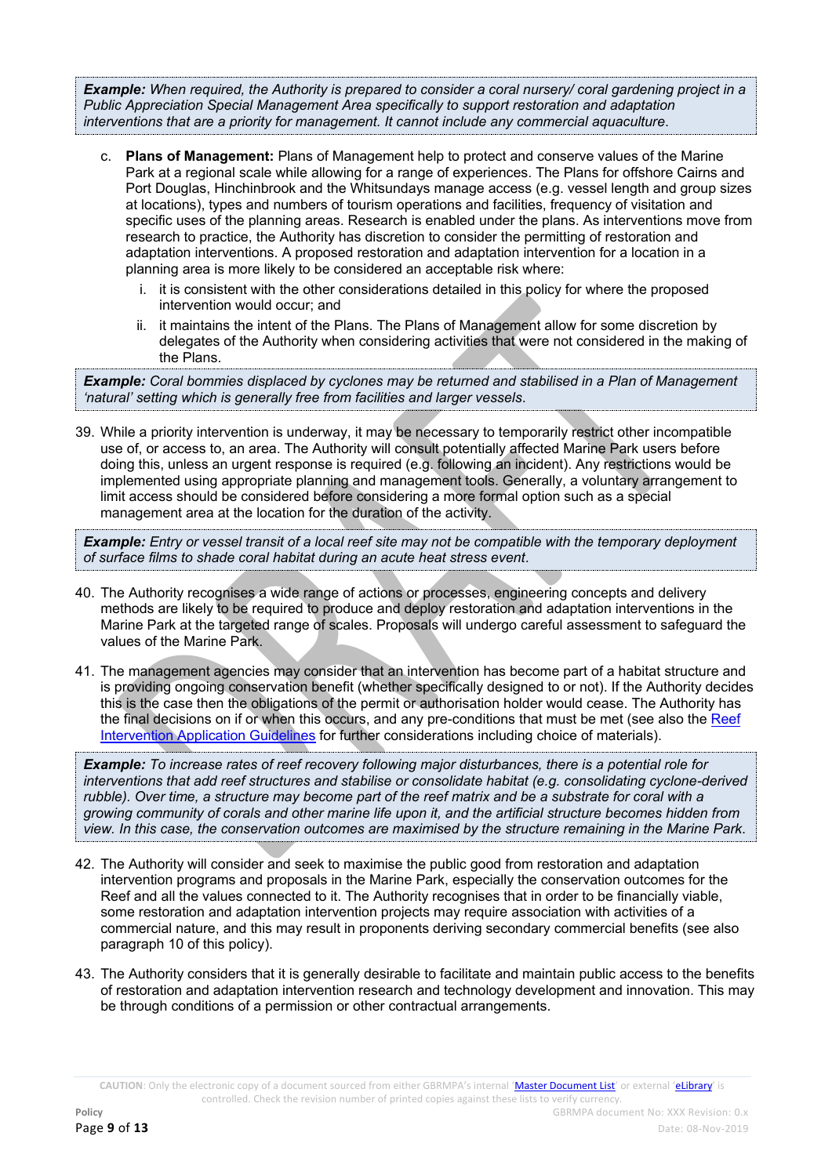*Example: When required, the Authority is prepared to consider a coral nursery/ coral gardening project in a Public Appreciation Special Management Area specifically to support restoration and adaptation interventions that are a priority for management. It cannot include any commercial aquaculture*.

- c. **Plans of Management:** Plans of Management help to protect and conserve values of the Marine Park at a regional scale while allowing for a range of experiences. The Plans for offshore Cairns and Port Douglas, Hinchinbrook and the Whitsundays manage access (e.g. vessel length and group sizes at locations), types and numbers of tourism operations and facilities, frequency of visitation and specific uses of the planning areas. Research is enabled under the plans. As interventions move from research to practice, the Authority has discretion to consider the permitting of restoration and adaptation interventions. A proposed restoration and adaptation intervention for a location in a planning area is more likely to be considered an acceptable risk where:
	- i. it is consistent with the other considerations detailed in this policy for where the proposed intervention would occur; and
	- ii. it maintains the intent of the Plans. The Plans of Management allow for some discretion by delegates of the Authority when considering activities that were not considered in the making of the Plans.

*Example: Coral bommies displaced by cyclones may be returned and stabilised in a Plan of Management 'natural' setting which is generally free from facilities and larger vessels*.

39. While a priority intervention is underway, it may be necessary to temporarily restrict other incompatible use of, or access to, an area. The Authority will consult potentially affected Marine Park users before doing this, unless an urgent response is required (e.g. following an incident). Any restrictions would be implemented using appropriate planning and management tools. Generally, a voluntary arrangement to limit access should be considered before considering a more formal option such as a special management area at the location for the duration of the activity.

*Example: Entry or vessel transit of a local reef site may not be compatible with the temporary deployment of surface films to shade coral habitat during an acute heat stress event*.

- 40. The Authority recognises a wide range of actions or processes, engineering concepts and delivery methods are likely to be required to produce and deploy restoration and adaptation interventions in the Marine Park at the targeted range of scales. Proposals will undergo careful assessment to safeguard the values of the Marine Park.
- 41. The management agencies may consider that an intervention has become part of a habitat structure and is providing ongoing conservation benefit (whether specifically designed to or not). If the Authority decides this is the case then the obligations of the permit or authorisation holder would cease. The Authority has the final decisions on if or when this occurs, and any pre-conditions that must be met (see also the [Reef](http://elibrary.gbrmpa.gov.au/jspui/bitstream/11017/3420/5/v1-Applications-for-restoration_adaptation-projects-%28Joint%29.pdf)  [Intervention Application Guidelines](http://elibrary.gbrmpa.gov.au/jspui/bitstream/11017/3420/5/v1-Applications-for-restoration_adaptation-projects-%28Joint%29.pdf) for further considerations including choice of materials).

*Example: To increase rates of reef recovery following major disturbances, there is a potential role for interventions that add reef structures and stabilise or consolidate habitat (e.g. consolidating cyclone-derived rubble). Over time, a structure may become part of the reef matrix and be a substrate for coral with a growing community of corals and other marine life upon it, and the artificial structure becomes hidden from view. In this case, the conservation outcomes are maximised by the structure remaining in the Marine Park*.

- 42. The Authority will consider and seek to maximise the public good from restoration and adaptation intervention programs and proposals in the Marine Park, especially the conservation outcomes for the Reef and all the values connected to it. The Authority recognises that in order to be financially viable, some restoration and adaptation intervention projects may require association with activities of a commercial nature, and this may result in proponents deriving secondary commercial benefits (see also paragraph 10 of this policy).
- 43. The Authority considers that it is generally desirable to facilitate and maintain public access to the benefits of restoration and adaptation intervention research and technology development and innovation. This may be through conditions of a permission or other contractual arrangements.

**CAUTION**: Only the electronic copy of a document sourced from either GBRMPA's internal '[Master Document List](http://qudos/masterdocumentlist/)' or external '[eLibrary](http://elibrary.gbrmpa.gov.au/jspui/)' is controlled. Check the revision number of printed copies against these lists to verify currency.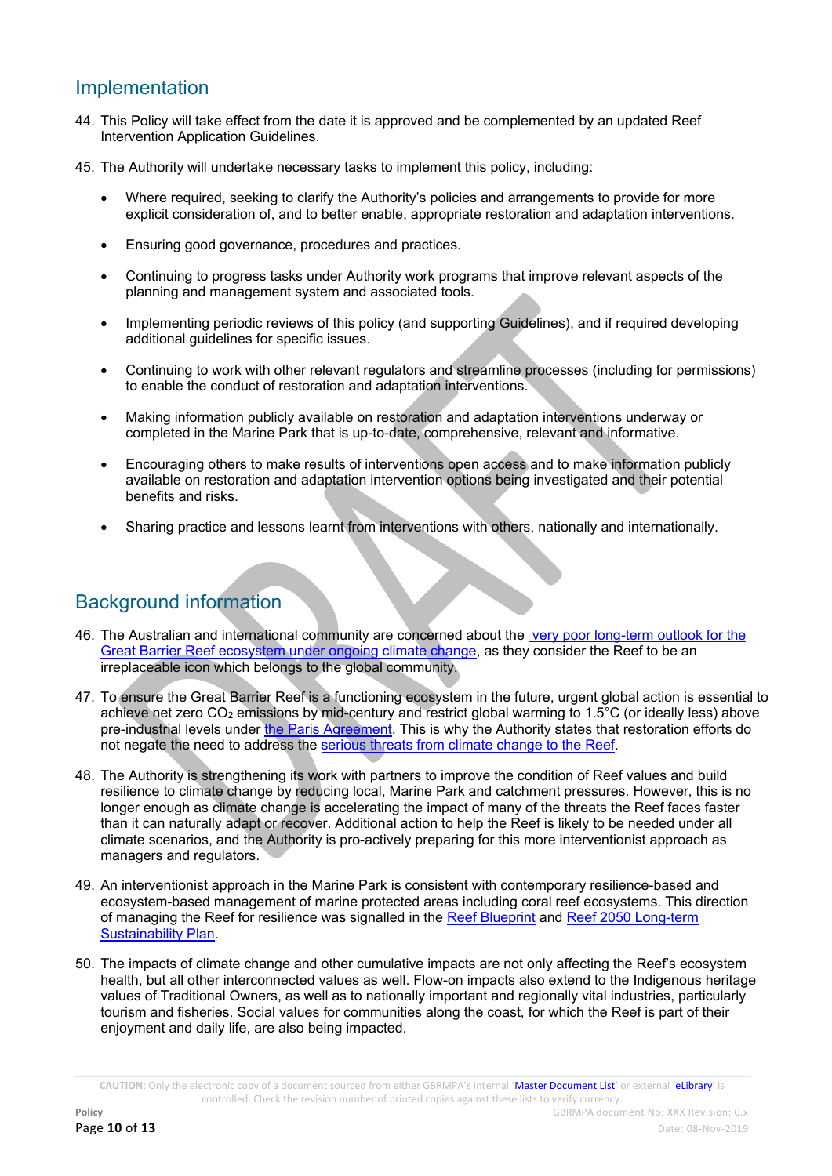# Implementation

- 44. This Policy will take effect from the date it is approved and be complemented by an updated Reef Intervention Application Guidelines.
- 45. The Authority will undertake necessary tasks to implement this policy, including:
	- Where required, seeking to clarify the Authority's policies and arrangements to provide for more explicit consideration of, and to better enable, appropriate restoration and adaptation interventions.
	- Ensuring good governance, procedures and practices.
	- Continuing to progress tasks under Authority work programs that improve relevant aspects of the planning and management system and associated tools.
	- Implementing periodic reviews of this policy (and supporting Guidelines), and if required developing additional guidelines for specific issues.
	- Continuing to work with other relevant regulators and streamline processes (including for permissions) to enable the conduct of restoration and adaptation interventions.
	- Making information publicly available on restoration and adaptation interventions underway or completed in the Marine Park that is up-to-date, comprehensive, relevant and informative.
	- Encouraging others to make results of interventions open access and to make information publicly available on restoration and adaptation intervention options being investigated and their potential benefits and risks.
	- Sharing practice and lessons learnt from interventions with others, nationally and internationally.

# Background information

- 46. The Australian and international community are concerned about the [very poor long-term outlook for the](file:///C:/Users/rachelp/Desktop/ADD%20URL%20to%20Outlook%202019)  [Great Barrier Reef ecosystem under ongoing climate change,](file:///C:/Users/rachelp/Desktop/ADD%20URL%20to%20Outlook%202019) as they consider the Reef to be an irreplaceable icon which belongs to the global community.
- 47. To ensure the Great Barrier Reef is a functioning ecosystem in the future, urgent global action is essential to achieve net zero CO<sub>2</sub> emissions by mid-century and restrict global warming to  $1.5^{\circ}$ C (or ideally less) above pre-industrial levels under [the Paris Agreement.](file:///C:/Users/rachelp/Desktop/ADD%20URL) This is why the Authority states that restoration efforts do not negate the need to address the [serious threats from climate change to the Reef.](http://elibrary.gbrmpa.gov.au/jspui/handle/11017/3460)
- 48. The Authority is strengthening its work with partners to improve the condition of Reef values and build resilience to climate change by reducing local, Marine Park and catchment pressures. However, this is no longer enough as climate change is accelerating the impact of many of the threats the Reef faces faster than it can naturally adapt or recover. Additional action to help the Reef is likely to be needed under all climate scenarios, and the Authority is pro-actively preparing for this more interventionist approach as managers and regulators.
- 49. An interventionist approach in the Marine Park is consistent with contemporary resilience-based and ecosystem-based management of marine protected areas including coral reef ecosystems. This direction of managing the Reef for resilience was signalled in the [Reef Blueprint](http://www.gbrmpa.gov.au/our-work/reef-strategies/managing-for-a-resilient-reef) and [Reef 2050 Long-term](https://www.environment.gov.au/marine/gbr/long-term-sustainability-plan)  [Sustainability Plan.](https://www.environment.gov.au/marine/gbr/long-term-sustainability-plan)
- 50. The impacts of climate change and other cumulative impacts are not only affecting the Reef's ecosystem health, but all other interconnected values as well. Flow-on impacts also extend to the Indigenous heritage values of Traditional Owners, as well as to nationally important and regionally vital industries, particularly tourism and fisheries. Social values for communities along the coast, for which the Reef is part of their enjoyment and daily life, are also being impacted.

**CAUTION**: Only the electronic copy of a document sourced from either GBRMPA's internal '[Master Document List](http://qudos/masterdocumentlist/)' or external '[eLibrary](http://elibrary.gbrmpa.gov.au/jspui/)' is controlled. Check the revision number of printed copies against these lists to verify currency.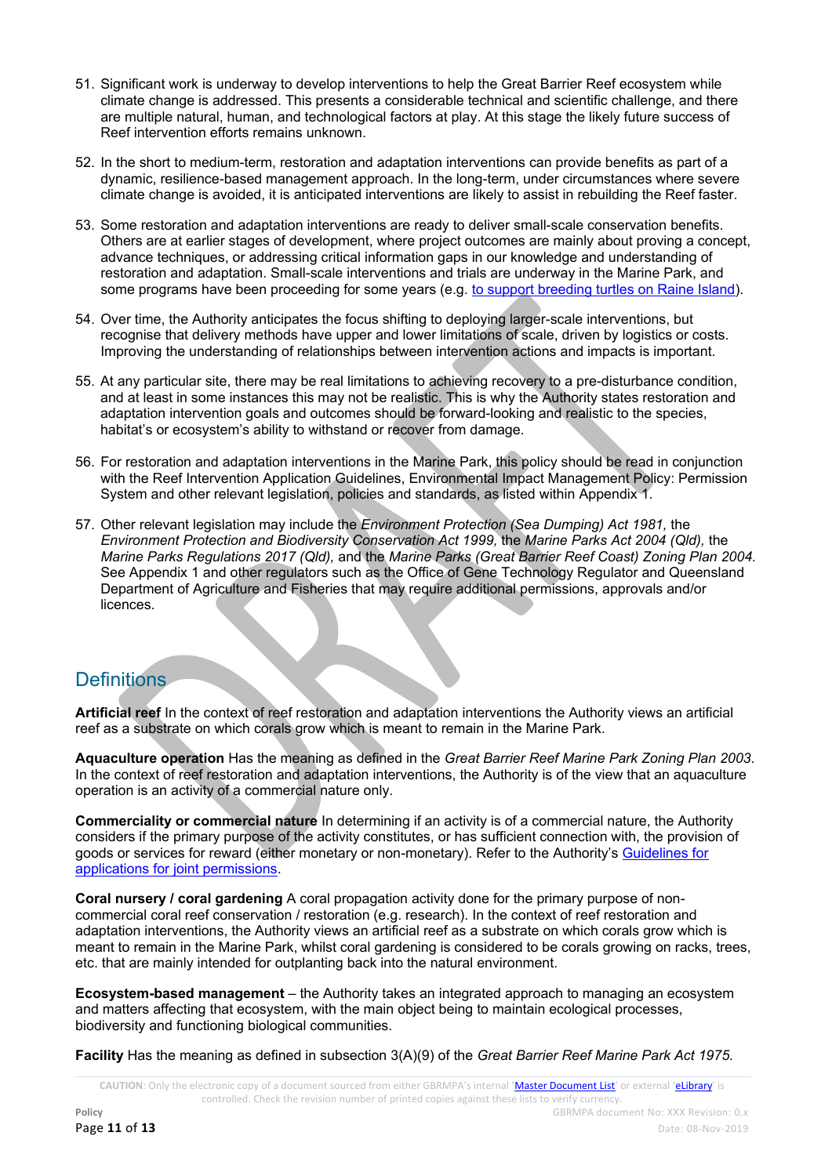- 51. Significant work is underway to develop interventions to help the Great Barrier Reef ecosystem while climate change is addressed. This presents a considerable technical and scientific challenge, and there are multiple natural, human, and technological factors at play. At this stage the likely future success of Reef intervention efforts remains unknown.
- 52. In the short to medium-term, restoration and adaptation interventions can provide benefits as part of a dynamic, resilience-based management approach. In the long-term, under circumstances where severe climate change is avoided, it is anticipated interventions are likely to assist in rebuilding the Reef faster.
- 53. Some restoration and adaptation interventions are ready to deliver small-scale conservation benefits. Others are at earlier stages of development, where project outcomes are mainly about proving a concept, advance techniques, or addressing critical information gaps in our knowledge and understanding of restoration and adaptation. Small-scale interventions and trials are underway in the Marine Park, and some programs have been proceeding for some years (e.g[. to support breeding turtles on Raine Island\)](file:///C:/Users/rachelp/Desktop/ADD%20URL).
- 54. Over time, the Authority anticipates the focus shifting to deploying larger-scale interventions, but recognise that delivery methods have upper and lower limitations of scale, driven by logistics or costs. Improving the understanding of relationships between intervention actions and impacts is important.
- 55. At any particular site, there may be real limitations to achieving recovery to a pre-disturbance condition, and at least in some instances this may not be realistic. This is why the Authority states restoration and adaptation intervention goals and outcomes should be forward-looking and realistic to the species, habitat's or ecosystem's ability to withstand or recover from damage.
- 56. For restoration and adaptation interventions in the Marine Park, this policy should be read in conjunction with the Reef Intervention Application Guidelines, Environmental Impact Management Policy: Permission System and other relevant legislation, policies and standards, as listed within Appendix 1.
- 57. Other relevant legislation may include the *Environment Protection (Sea Dumping) Act 1981,* the *Environment Protection and Biodiversity Conservation Act 1999,* the *Marine Parks Act 2004 (Qld),* the *Marine Parks Regulations 2017 (Qld),* and the *Marine Parks (Great Barrier Reef Coast) Zoning Plan 2004.*  See Appendix 1 and other regulators such as the Office of Gene Technology Regulator and Queensland Department of Agriculture and Fisheries that may require additional permissions, approvals and/or licences.

# **Definitions**

**Artificial reef** In the context of reef restoration and adaptation interventions the Authority views an artificial reef as a substrate on which corals grow which is meant to remain in the Marine Park.

**Aquaculture operation** Has the meaning as defined in the *Great Barrier Reef Marine Park Zoning Plan 2003*. In the context of reef restoration and adaptation interventions, the Authority is of the view that an aquaculture operation is an activity of a commercial nature only.

**Commerciality or commercial nature** In determining if an activity is of a commercial nature, the Authority considers if the primary purpose of the activity constitutes, or has sufficient connection with, the provision of goods or services for reward (either monetary or non-monetary). Refer to the Authority's [Guidelines for](http://elibrary.gbrmpa.gov.au/jspui/bitstream/11017/3226/1/App-Joint-Permissions-GUI-v1.pdf)  [applications for joint permissions.](http://elibrary.gbrmpa.gov.au/jspui/bitstream/11017/3226/1/App-Joint-Permissions-GUI-v1.pdf)

**Coral nursery / coral gardening** A coral propagation activity done for the primary purpose of noncommercial coral reef conservation / restoration (e.g. research). In the context of reef restoration and adaptation interventions, the Authority views an artificial reef as a substrate on which corals grow which is meant to remain in the Marine Park, whilst coral gardening is considered to be corals growing on racks, trees, etc. that are mainly intended for outplanting back into the natural environment.

**Ecosystem-based management** – the Authority takes an integrated approach to managing an ecosystem and matters affecting that ecosystem, with the main object being to maintain ecological processes, biodiversity and functioning biological communities.

**Facility** Has the meaning as defined in subsection 3(A)(9) of the *Great Barrier Reef Marine Park Act 1975.*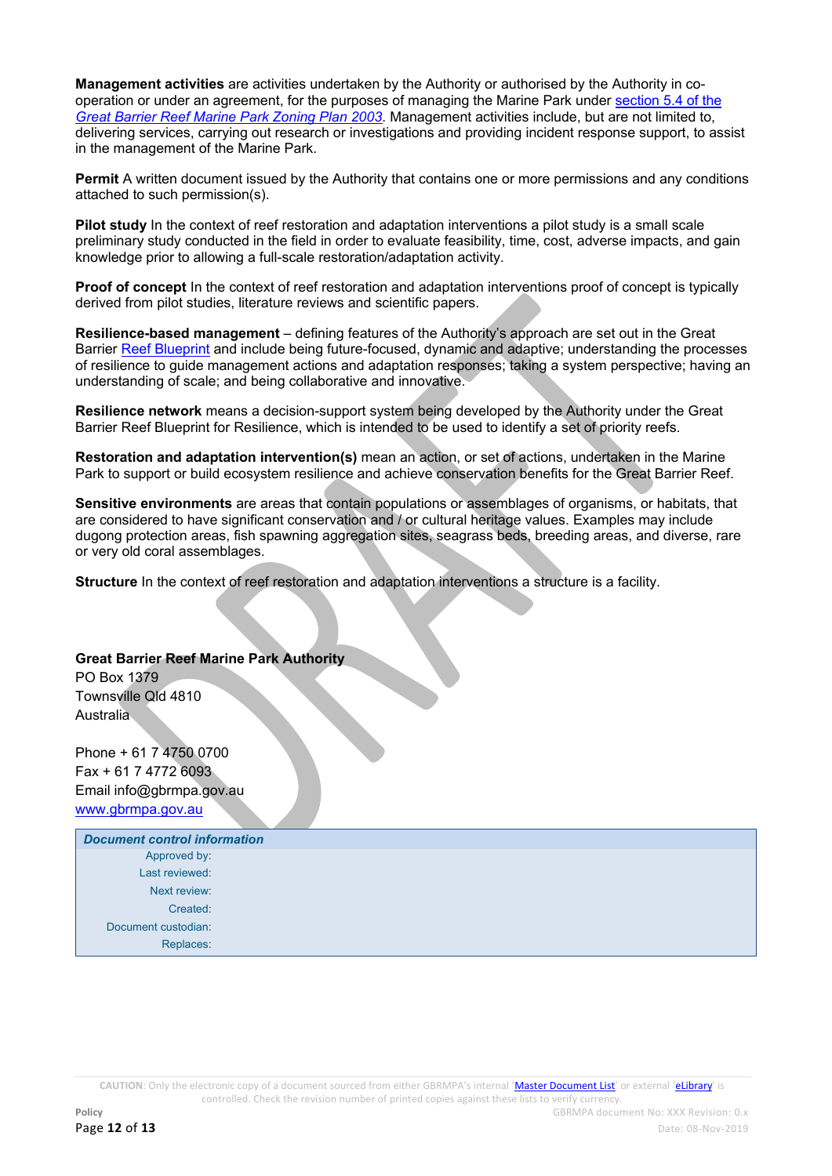**Management activities** are activities undertaken by the Authority or authorised by the Authority in cooperation or under an agreement, for the purposes of managing the Marine Park under [section 5.4 of the](http://hdl.handle.net/11017/3547)  *[Great Barrier Reef Marine Park Zoning Plan 2003.](http://hdl.handle.net/11017/3547)* Management activities include, but are not limited to, delivering services, carrying out research or investigations and providing incident response support, to assist in the management of the Marine Park.

**Permit** A written document issued by the Authority that contains one or more permissions and any conditions attached to such permission(s).

**Pilot study** In the context of reef restoration and adaptation interventions a pilot study is a small scale preliminary study conducted in the field in order to evaluate feasibility, time, cost, adverse impacts, and gain knowledge prior to allowing a full-scale restoration/adaptation activity.

**Proof of concept** In the context of reef restoration and adaptation interventions proof of concept is typically derived from pilot studies, literature reviews and scientific papers.

**Resilience-based management** – defining features of the Authority's approach are set out in the Great Barrier [Reef Blueprint](http://www.gbrmpa.gov.au/our-work/reef-strategies/managing-for-a-resilient-reef) and include being future-focused, dynamic and adaptive; understanding the processes of resilience to guide management actions and adaptation responses; taking a system perspective; having an understanding of scale; and being collaborative and innovative.

**Resilience network** means a decision-support system being developed by the Authority under the Great Barrier Reef Blueprint for Resilience, which is intended to be used to identify a set of priority reefs.

**Restoration and adaptation intervention(s)** mean an action, or set of actions, undertaken in the Marine Park to support or build ecosystem resilience and achieve conservation benefits for the Great Barrier Reef.

**Sensitive environments** are areas that contain populations or assemblages of organisms, or habitats, that are considered to have significant conservation and / or cultural heritage values. Examples may include dugong protection areas, fish spawning aggregation sites, seagrass beds, breeding areas, and diverse, rare or very old coral assemblages.

**Structure** In the context of reef restoration and adaptation interventions a structure is a facility.

### **Great Barrier Reef Marine Park Authority**

PO Box 1379 Townsville Qld 4810 **Australia** 

Phone + 61 7 4750 0700 Fax + 61 7 4772 6093 Email info@gbrmpa.gov.au [www.gbrmpa.gov.au](http://www.gbrmpa.gov.au/)

| <b>Document control information</b> |  |
|-------------------------------------|--|
| Approved by:                        |  |
| Last reviewed:                      |  |
| Next review:                        |  |
| Created:                            |  |
| Document custodian:                 |  |
| Replaces:                           |  |

**CAUTION**: Only the electronic copy of a document sourced from either GBRMPA's internal '[Master Document List](http://qudos/masterdocumentlist/)' or external '[eLibrary](http://elibrary.gbrmpa.gov.au/jspui/)' is controlled. Check the revision number of printed copies against these lists to verify currency.

**Policy Policy Policy GBRMPA** document No: XXX Revision: 0.x **Page 12 of 13** Date: 08-Nov-2019